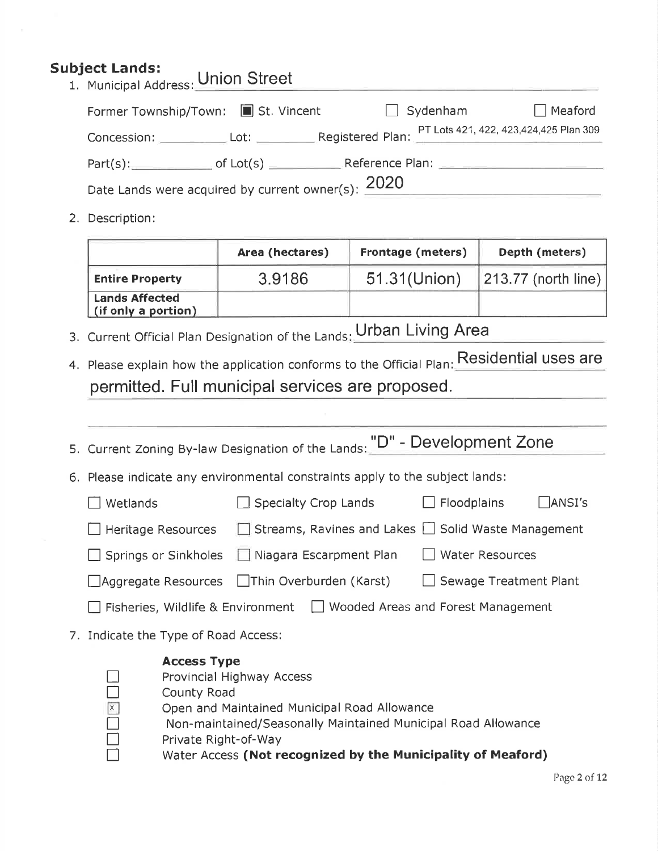## Subject Lands:

| <b>IDJECt Lands:</b><br>1. Municipal Address: Union Street |  |  |                 |                |
|------------------------------------------------------------|--|--|-----------------|----------------|
| Former Township/Town: St. Vincent                          |  |  | $\Box$ Sydenham | $\Box$ Meaford |
|                                                            |  |  |                 |                |
| $Part(s):$ of $Lot(s)$ Reference Plan:                     |  |  |                 |                |
| Date Lands were acquired by current owner(s): $2020$       |  |  |                 |                |

2. Description:

n

|                                              | Area (hectares) | Frontage (meters) | Depth (meters)      |
|----------------------------------------------|-----------------|-------------------|---------------------|
| <b>Entire Property</b>                       | 3.9186          | 51.31(Union)      | 213.77 (north line) |
| <b>Lands Affected</b><br>(if only a portion) |                 |                   |                     |

- 3. Current Official Plan Designation of the Lands: Urban Living Area
- 4. Please explain how the application conforms to the Official Plan: Residential uses are permitted. Full municipal services are proposed.

| 5. Current Zoning By-law Designation of the Lands: "D" - Development Zone                                                                                                                                              |  |  |                      |                                                                 |        |
|------------------------------------------------------------------------------------------------------------------------------------------------------------------------------------------------------------------------|--|--|----------------------|-----------------------------------------------------------------|--------|
| 6. Please indicate any environmental constraints apply to the subject lands:                                                                                                                                           |  |  |                      |                                                                 |        |
| Wetlands                                                                                                                                                                                                               |  |  | Specialty Crop Lands | <b>Floodplains</b>                                              | ANSI's |
| Heritage Resources                                                                                                                                                                                                     |  |  |                      | $\Box$ Streams, Ravines and Lakes $\Box$ Solid Waste Management |        |
| Niagara Escarpment Plan<br>Water Resources<br>Springs or Sinkholes                                                                                                                                                     |  |  |                      |                                                                 |        |
| Aggregate Resources IThin Overburden (Karst)<br>Sewage Treatment Plant                                                                                                                                                 |  |  |                      |                                                                 |        |
| Fisheries, Wildlife & Environment     Wooded Areas and Forest Management                                                                                                                                               |  |  |                      |                                                                 |        |
| 7. Indicate the Type of Road Access:                                                                                                                                                                                   |  |  |                      |                                                                 |        |
| <b>Access Type</b><br>Provincial Highway Access<br>County Road<br>$\boxed{x}$<br>Open and Maintained Municipal Road Allowance<br>Non-maintained/Seasonally Maintained Municipal Road Allowance<br>Private Right-of-Way |  |  |                      |                                                                 |        |

Water Access (Not recognized by the Municipality of Meaford)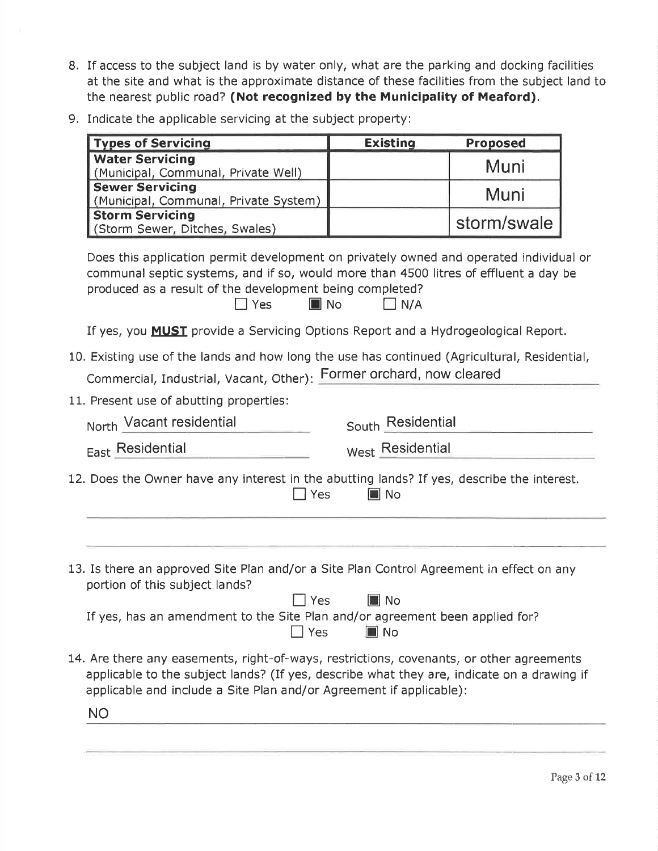- 8. If access to the subject land is by water only, what are the parking and docking facilities at the site and what is the approximate distance of these facilities from the subject land to the nearest public road? (Not recognized by the Municipality of Meaford).
- 9. Indicate the applicable servicing at the subject property:

| <b>Types of Servicing</b>                                                                                                                                                                                                                                              | <b>Existing</b>   | <b>Proposed</b> |
|------------------------------------------------------------------------------------------------------------------------------------------------------------------------------------------------------------------------------------------------------------------------|-------------------|-----------------|
| <b>Water Servicing</b><br>(Municipal, Communal, Private Well)                                                                                                                                                                                                          |                   | Muni            |
| <b>Sewer Servicing</b>                                                                                                                                                                                                                                                 |                   | Muni            |
| (Municipal, Communal, Private System)<br><b>Storm Servicing</b>                                                                                                                                                                                                        |                   | storm/swale     |
| (Storm Sewer, Ditches, Swales)                                                                                                                                                                                                                                         |                   |                 |
| Does this application permit development on privately owned and operated individual or<br>communal septic systems, and if so, would more than 4500 litres of effluent a day be<br>produced as a result of the development being completed?<br>$\blacksquare$ No<br>Yes | $\Box$ N/A        |                 |
| If yes, you <b>MUST</b> provide a Servicing Options Report and a Hydrogeological Report.                                                                                                                                                                               |                   |                 |
| 10. Existing use of the lands and how long the use has continued (Agricultural, Residential,                                                                                                                                                                           |                   |                 |
| Commercial, Industrial, Vacant, Other): Former orchard, now cleared                                                                                                                                                                                                    |                   |                 |
| 11. Present use of abutting properties:                                                                                                                                                                                                                                |                   |                 |
| North Vacant residential                                                                                                                                                                                                                                               | South Residential |                 |
| East Residential                                                                                                                                                                                                                                                       | West Residential  |                 |
| 12. Does the Owner have any interest in the abutting lands? If yes, describe the interest.<br>Yes                                                                                                                                                                      | $\blacksquare$ No |                 |
| 13. Is there an approved Site Plan and/or a Site Plan Control Agreement in effect on any<br>portion of this subject lands?<br>Yes                                                                                                                                      | $\blacksquare$ No |                 |
| If yes, has an amendment to the Site Plan and/or agreement been applied for?<br>Yes                                                                                                                                                                                    | $\blacksquare$ No |                 |
| 14. Are there any easements, right-of-ways, restrictions, covenants, or other agreements<br>applicable to the subject lands? (If yes, describe what they are, indicate on a drawing if                                                                                 |                   |                 |
| applicable and include a Site Plan and/or Agreement if applicable):                                                                                                                                                                                                    |                   |                 |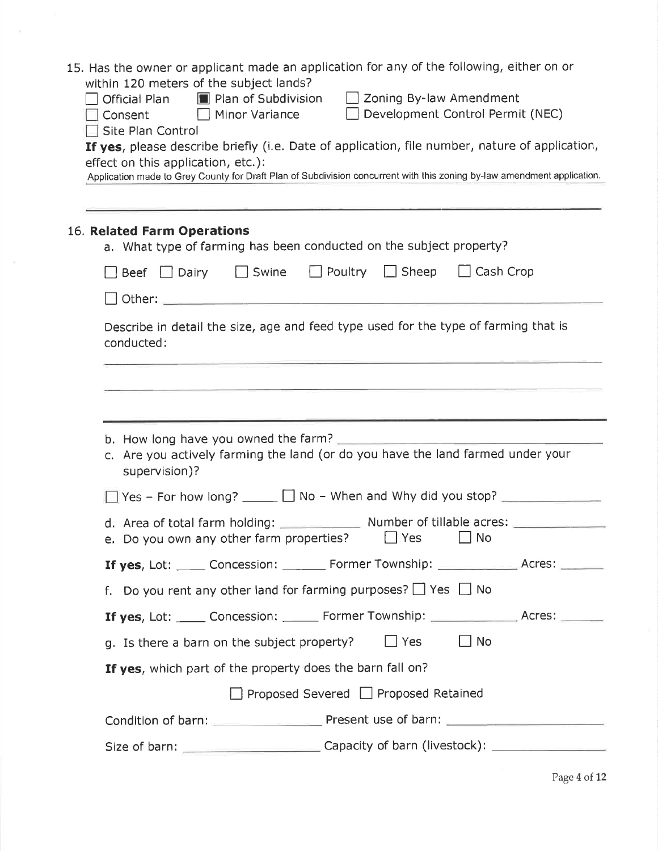|                                                                                                   | 15. Has the owner or applicant made an application for any of the following, either on or<br>within 120 meters of the subject lands?                 |  |  |
|---------------------------------------------------------------------------------------------------|------------------------------------------------------------------------------------------------------------------------------------------------------|--|--|
|                                                                                                   | <b>No. 3</b> Plan of Subdivision<br>$\Box$ Zoning By-law Amendment<br>Official Plan<br>Development Control Permit (NEC)<br>Minor Variance<br>Consent |  |  |
|                                                                                                   | Site Plan Control<br>If yes, please describe briefly (i.e. Date of application, file number, nature of application,                                  |  |  |
|                                                                                                   | effect on this application, etc.):                                                                                                                   |  |  |
|                                                                                                   | Application made to Grey County for Draft Plan of Subdivision concurrent with this zoning by-law amendment application.                              |  |  |
|                                                                                                   |                                                                                                                                                      |  |  |
|                                                                                                   | 16. Related Farm Operations<br>a. What type of farming has been conducted on the subject property?                                                   |  |  |
|                                                                                                   | $\Box$ Poultry $\Box$ Sheep<br>$\Box$ Cash Crop<br>$\Box$ Swine<br>$\Box$ Beef $\Box$ Dairy                                                          |  |  |
|                                                                                                   | Dther: 2008 - 2008 - 2008 - 2008 - 2008 - 2008 - 2018 - 2018 - 2018 - 2018 - 2018 - 2018 - 2018 - 2018 - 2018                                        |  |  |
| Describe in detail the size, age and feed type used for the type of farming that is<br>conducted: |                                                                                                                                                      |  |  |
|                                                                                                   |                                                                                                                                                      |  |  |
|                                                                                                   |                                                                                                                                                      |  |  |
|                                                                                                   | c. Are you actively farming the land (or do you have the land farmed under your                                                                      |  |  |
|                                                                                                   | supervision)?                                                                                                                                        |  |  |
|                                                                                                   | $\Box$ Yes - For how long? $\Box$ No - When and Why did you stop? $\Box$                                                                             |  |  |
|                                                                                                   | d. Area of total farm holding: Number of tillable acres: _______________________<br>e. Do you own any other farm properties?<br>Yes<br><b>No</b>     |  |  |
|                                                                                                   | If yes, Lot: _____ Concession: _______ Former Township: ____________ Acres: ______                                                                   |  |  |
|                                                                                                   | f. Do you rent any other land for farming purposes? $\Box$ Yes $\Box$ No                                                                             |  |  |
|                                                                                                   | If yes, Lot: _____ Concession: ______ Former Township: ______________ Acres: ______                                                                  |  |  |
|                                                                                                   | $\Box$ Yes<br>$\Box$ No<br>g. Is there a barn on the subject property?                                                                               |  |  |
|                                                                                                   | If yes, which part of the property does the barn fall on?                                                                                            |  |  |
|                                                                                                   | □ Proposed Severed □ Proposed Retained                                                                                                               |  |  |
|                                                                                                   |                                                                                                                                                      |  |  |
|                                                                                                   |                                                                                                                                                      |  |  |
|                                                                                                   |                                                                                                                                                      |  |  |

 $\mathcal{V}$ 

Page 4 of 12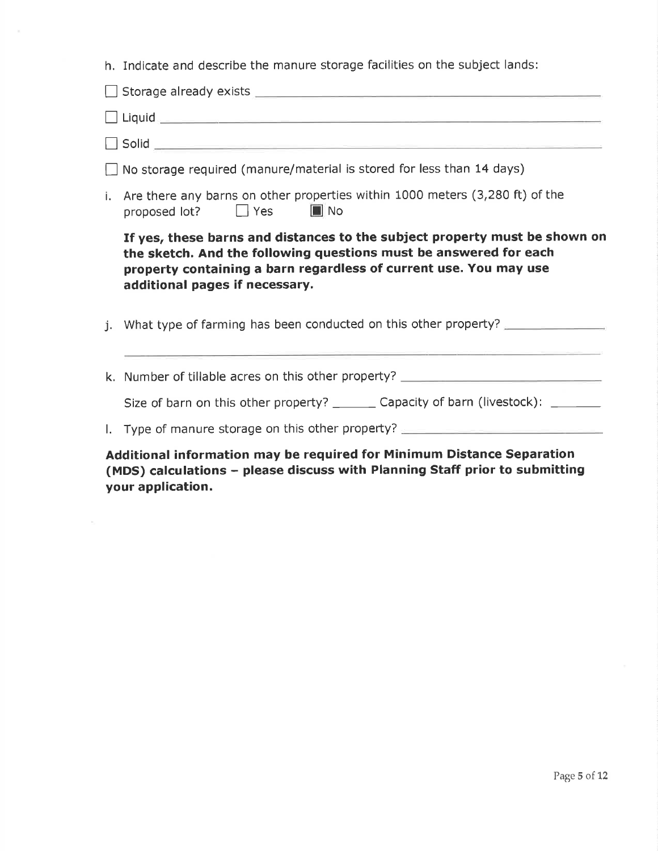h. Indicate and describe the manure storage facilities on the subject lands:

| No storage required (manure/material is stored for less than 14 days)                                                                                                                                                                                  |  |  |  |  |
|--------------------------------------------------------------------------------------------------------------------------------------------------------------------------------------------------------------------------------------------------------|--|--|--|--|
| i. Are there any barns on other properties within 1000 meters (3,280 ft) of the<br>proposed lot? J Yes I No                                                                                                                                            |  |  |  |  |
| If yes, these barns and distances to the subject property must be shown on<br>the sketch. And the following questions must be answered for each<br>property containing a barn regardless of current use. You may use<br>additional pages if necessary. |  |  |  |  |
| What type of farming has been conducted on this other property?                                                                                                                                                                                        |  |  |  |  |
| k. Number of tillable acres on this other property? ____________________________                                                                                                                                                                       |  |  |  |  |
| Size of barn on this other property? ________ Capacity of barn (livestock): ______                                                                                                                                                                     |  |  |  |  |
| I. Type of manure storage on this other property?                                                                                                                                                                                                      |  |  |  |  |
|                                                                                                                                                                                                                                                        |  |  |  |  |

- Additional information may be required for Minimum Distance Separation (MDS) calculations - please discuss with Planning Staff prior to submitting your application.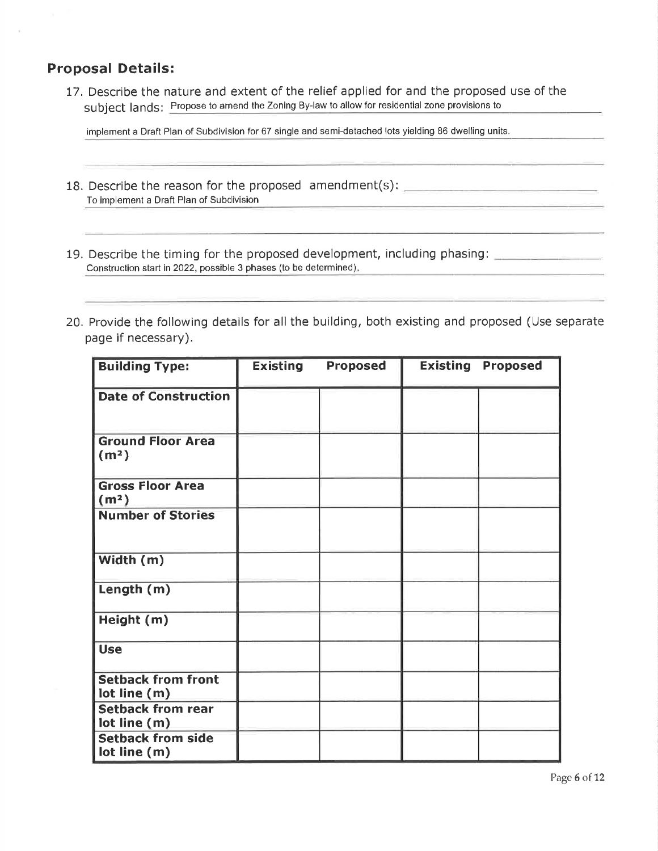## **Proposal Details:**

17. Describe the nature and extent of the relief applied for and the proposed use of the subject lands: Propose to amend the Zoning By-law to allow for residential zone provisions to

implement a Draft Plan of Subdivision for 67 single and semi-detached lots yielding BG dwelling units.

- 18. Describe the reason for the proposed amendment(s): To implement a Draft Plan of Subdivision
- 19, Describe the timing for the proposed development, including phasing: Construction start in 2022, possible 3 phases (to be determined)
- 20. Provide the following details for all the building, both existing and proposed (Use separate page if necessary).

| <b>Building Type:</b>                         | <b>Existing</b> | <b>Proposed</b> | <b>Existing Proposed</b> |
|-----------------------------------------------|-----------------|-----------------|--------------------------|
| <b>Date of Construction</b>                   |                 |                 |                          |
| <b>Ground Floor Area</b><br>(m <sup>2</sup> ) |                 |                 |                          |
| <b>Gross Floor Area</b><br>(m <sup>2</sup> )  |                 |                 |                          |
| <b>Number of Stories</b>                      |                 |                 |                          |
| Width (m)                                     |                 |                 |                          |
| Length (m)                                    |                 |                 |                          |
| Height (m)                                    |                 |                 |                          |
| <b>Use</b>                                    |                 |                 |                          |
| <b>Setback from front</b><br>lot line (m)     |                 |                 |                          |
| <b>Setback from rear</b><br>lot line (m)      |                 |                 |                          |
| <b>Setback from side</b><br>lot line (m)      |                 |                 |                          |

Page 6 of 12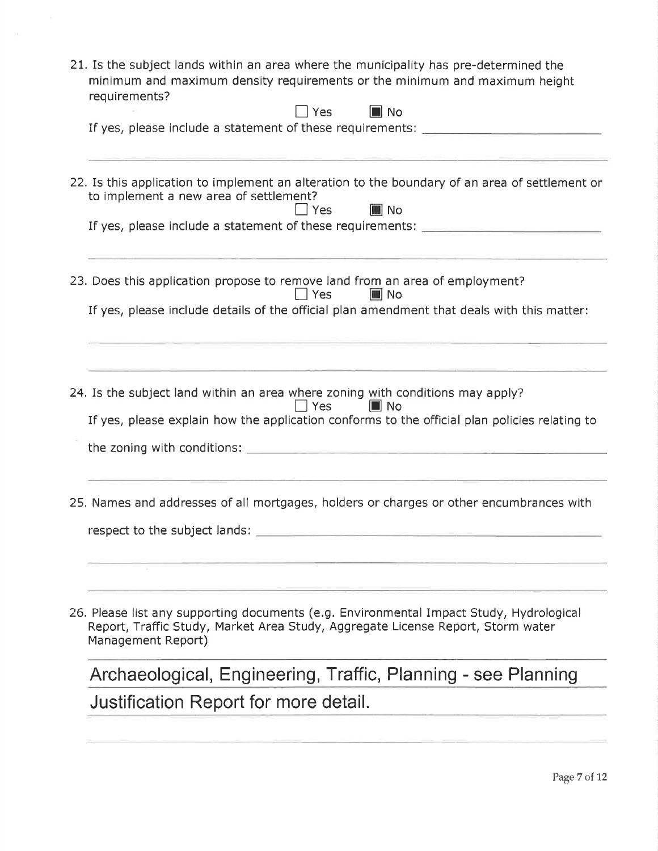| 21. Is the subject lands within an area where the municipality has pre-determined the<br>minimum and maximum density requirements or the minimum and maximum height<br>requirements?                                                                            |
|-----------------------------------------------------------------------------------------------------------------------------------------------------------------------------------------------------------------------------------------------------------------|
| $\blacksquare$ No<br>Yes Yes<br>If yes, please include a statement of these requirements: ______________________                                                                                                                                                |
| 22. Is this application to implement an alteration to the boundary of an area of settlement or<br>to implement a new area of settlement?<br>$\blacksquare$ No<br>$\Box$ Yes<br>If yes, please include a statement of these requirements: ______________________ |
| 23. Does this application propose to remove land from an area of employment?<br>l l Yes<br>III No<br>If yes, please include details of the official plan amendment that deals with this matter:                                                                 |
| 24. Is the subject land within an area where zoning with conditions may apply?<br>$\sqsupset$ Yes<br>$\blacksquare$ No<br>If yes, please explain how the application conforms to the official plan policies relating to                                         |
|                                                                                                                                                                                                                                                                 |
| 25. Names and addresses of all mortgages, holders or charges or other encumbrances with<br>respect to the subject lands:                                                                                                                                        |
| 26. Please list any supporting documents (e.g. Environmental Impact Study, Hydrological<br>Report, Traffic Study, Market Area Study, Aggregate License Report, Storm water<br>Management Report)                                                                |
| Archaeological, Engineering, Traffic, Planning - see Planning                                                                                                                                                                                                   |
| Justification Report for more detail.                                                                                                                                                                                                                           |
|                                                                                                                                                                                                                                                                 |

 $\mathbf{C}$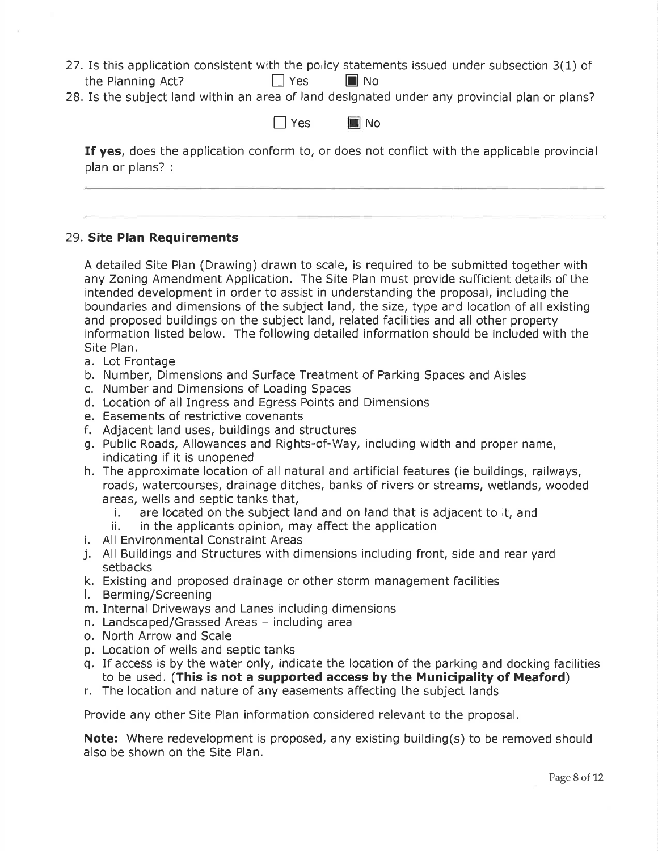- 27.Is this application consistent with the policy statements issued under subsection 3(1) of the Planning Act?  $\Box$  Yes  $\Box$  No
- 28. Is the subject land within an area of land designated under any provincial plan or plans?

I Yes III No

If yes, does the application conform to, or does not conflict with the applicable provincial plan or plans? :

#### 29. Site Plan Requirements

A detailed Site Plan (Drawing) drawn to scale, is required to be submitted together with any Zoning Amendment Application. The Site Plan must provide sufficient details of the intended development in order to assist in understanding the proposal, including the boundaries and dimensions of the subject land, the size, type and location of all existing and proposed buildings on the subject land, related facilities and all other property information listed below. The following detailed information should be included with the Site Plan.

- a. Lot Frontage
- b. Number, Dimensions and Surface Treatment of Parking Spaces and Aisles
- c. Number and Dimensions of Loading Spaces
- d, Location of all Ingress and Egress Points and Dimensions
- 
- f. Adjacent land uses, buildings and structures
- g, Public Roads, Allowances and Rights-of-Way, including width and proper name, indicating if it is unopened
- h. The approximate location of all natural and artificial features (ie buildings, railways, roads, watercourses, drainage ditches, banks of rivers or streams, wetlands, wooded
- areas, wells and septic tanks that,<br>
i. are located on the subject land and on land that is adjacent to it, and<br>
ii. in the applicants opinion, may affect the application<br>
i. All Environmental Constraint Areas<br>
j. All Buil
	-
- 
- setbacks
- k. Existing and proposed drainage or other storm management facilities l, Berming/Screening
- 
- m. Internal Driveways and Lanes including dimensions
- n. Landscaped/Grassed Areas including area
- o. North Arrow and Scale
- p. Location of wells and septic tanks
- q. If access is by the water only, indicate the location of the parking and docking facilities to be used. (This is not a supported access by the Municipality of Meaford)
- r. The location and nature of any easements affecting the subject lands

Provide any other Site Plan information considered relevant to the proposal.

Note: Where redevelopment is proposed, any existing building(s) to be removed should also be shown on the Site Plan.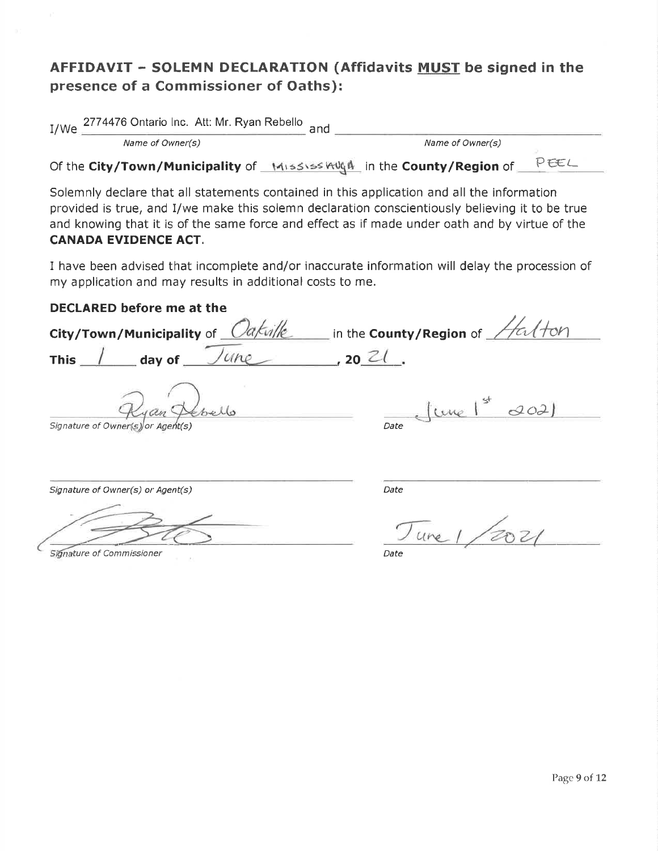# AFFIDAVIT - SOLEMN DECLARATION (Affidavits MUST be signed in the presence of a Commissioner of Oaths):

I/We 2774476 Ontario Inc. Att: Mr. Ryan Rebello and

Name of Owner(s) Name of Owner(s)

Of the City/Town/Municipality of Mississ Aught in the County/Region of PreC

Solemnly declare that all statements contained in this application and all the information provided is true, and l/we make this solemn declaration conscientiously believing it to be true and knowing that it is of the same force and effect as if made under oath and by virtue of the CANADA EVIDENCE ACT.

I have been advised that incomplete and/or inaccurate information will delay the procession of my application and may results in additional costs to me.

#### DECLARED before me at the

City/Town/Municipality of  $\sqrt{Ca/\mu}$  in the County/Region of  $\sqrt{4d/\sigma}$ This  $\int$  day of  $\int$   $U$   $\mu$   $(20 \text{ Z})$ fune 1st  $202$  $Signature of Owner(s)$   $\alpha$  Agent(s)  $\alpha$ Signature of Owner(s) or Agent(s) Date

Signature of Commissioner **Date** Date of Commissioner **Date** 

 $0021$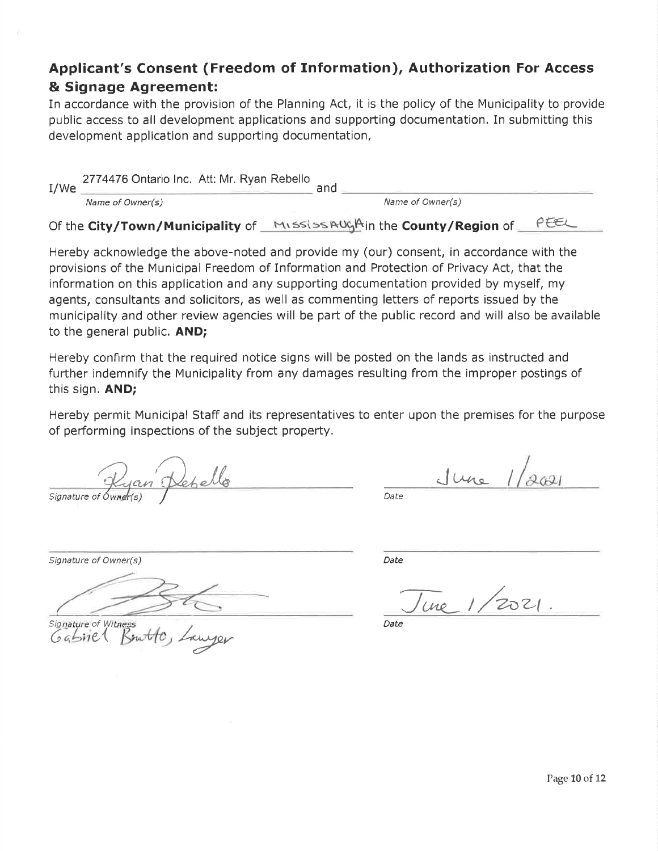# Applicant's Consent (Freedom of Information), Authorization For Access & Signage Agreement:

In accordance with the provision of the Planning Act, it is the policy of the Municipality to provide public access to all development applications and supporting documentation. In submitting this development application and supporting documentation,

| I/We | 2774476 Ontario Inc. Att: Mr. Ryan Rebello | and                                |     |  |
|------|--------------------------------------------|------------------------------------|-----|--|
|      | Name of Owner(s)                           | Name of Owner(s)                   |     |  |
|      | Of the City/Town/Municipality of $\equiv$  | MISSISSAUGAIn the County/Region of | O27 |  |

Hereby acknowledge the above-noted and provide my (our) consent, in accordance with the provisions of the Municipal Freedom of Information and Protection of Privacy Act, that the information on this application and any supporting documentation provided by myself, my agents, consultants and solicitors, as well as commenting letters of reports issued by the municipality and other review agencies will be part of the public record and will also be available to the general public. AND;

Hereby confirm that the required notice signs will be posted on the lands as instructed and further indemnify the Municipality from any damages resulting from the improper postings of this sign. AND;

Hereby permit Municipal Staff and its representatives to enter upon the premises for the purpose of performing inspections of the subject property.

signature of Owner(s)

<u>June</u> 1/2021

Date

Signature of Owner(s) and the contract of  $\mathcal{D}$  Date

 $Signature of Witness  
Data$ 

une 1/2021.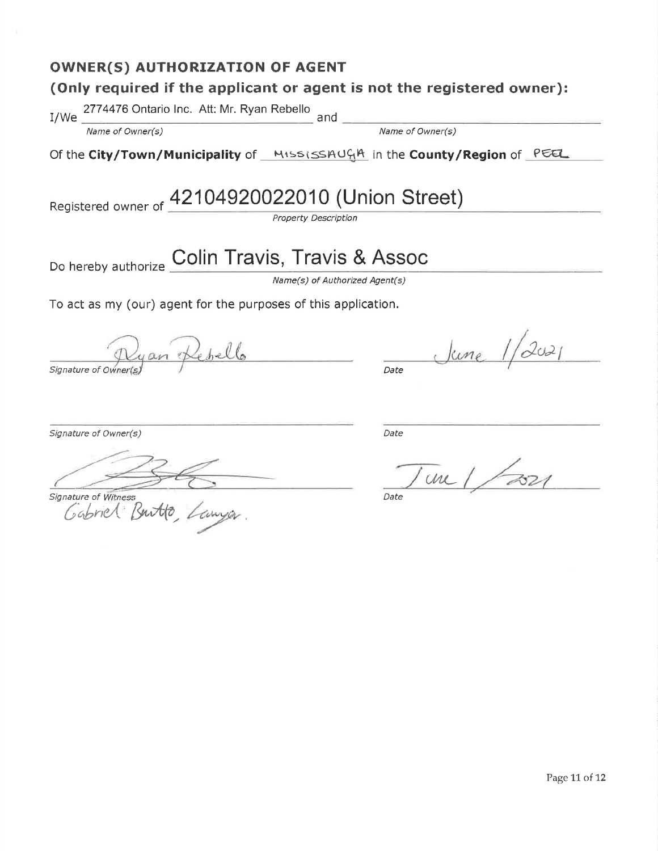# OWNER(S) AUTHORIZATION OF AGENT (Only required if the applicant or agent is not the registered owner): I/We 2774476 Ontario lnc. Att: Mr. Ryan Rebello ,nO Name of Owner(s) Name of Owner(s) Of the City/Town/Municipality of <u>MississAUGA</u> in the County/Region of <u>PEE</u> Registered owner of 42104920022010 (Union Street) Property Description Do hereby authorize **Colin Travis, Travis & Assoc** Name(s) of Authorized Agent(s) To act as my (our) agent for the purposes of this application. June 1/2021 yan Kepello Signature of Owner(s)  $\qquad$   $\qquad$   $\qquad$  Date Signature of Owner(s) and the Contract of Owner(s) and the Date of Date Date of Date of Date of Date of Date of Date of Date of Date of Date of Date of Date of Date of Date of Date of Date of Date of Date of Date of Date o  $\mu$ Signature of Witness **Executive Contract Contract Contract Contract Contract Contract Contract Contract Contract Contract Contract Contract Contract Contract Contract Contract Contract Contract Contract Contract Contract C** Gabriel Burtto,